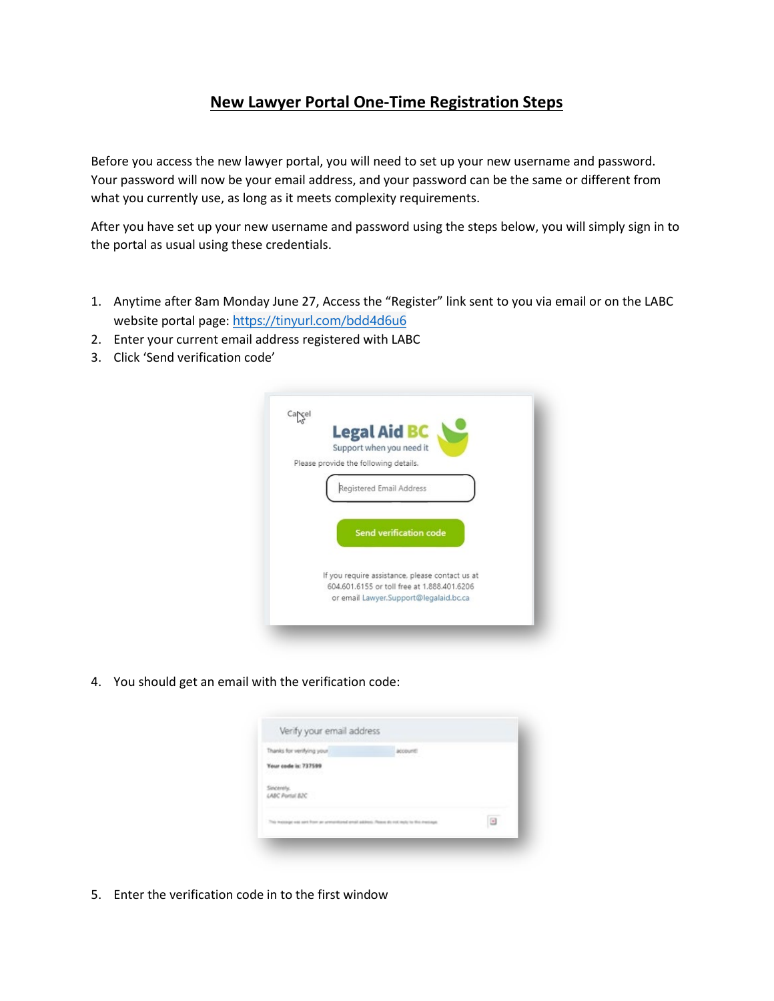## **New Lawyer Portal One-Time Registration Steps**

Before you access the new lawyer portal, you will need to set up your new username and password. Your password will now be your email address, and your password can be the same or different from what you currently use, as long as it meets complexity requirements.

After you have set up your new username and password using the steps below, you will simply sign in to the portal as usual using these credentials.

- 1. Anytime after 8am Monday June 27, Access the "Register" link sent to you via email or on the LABC website portal page: <https://tinyurl.com/bdd4d6u6>
- 2. Enter your current email address registered with LABC
- 3. Click 'Send verification code'



4. You should get an email with the verification code:



5. Enter the verification code in to the first window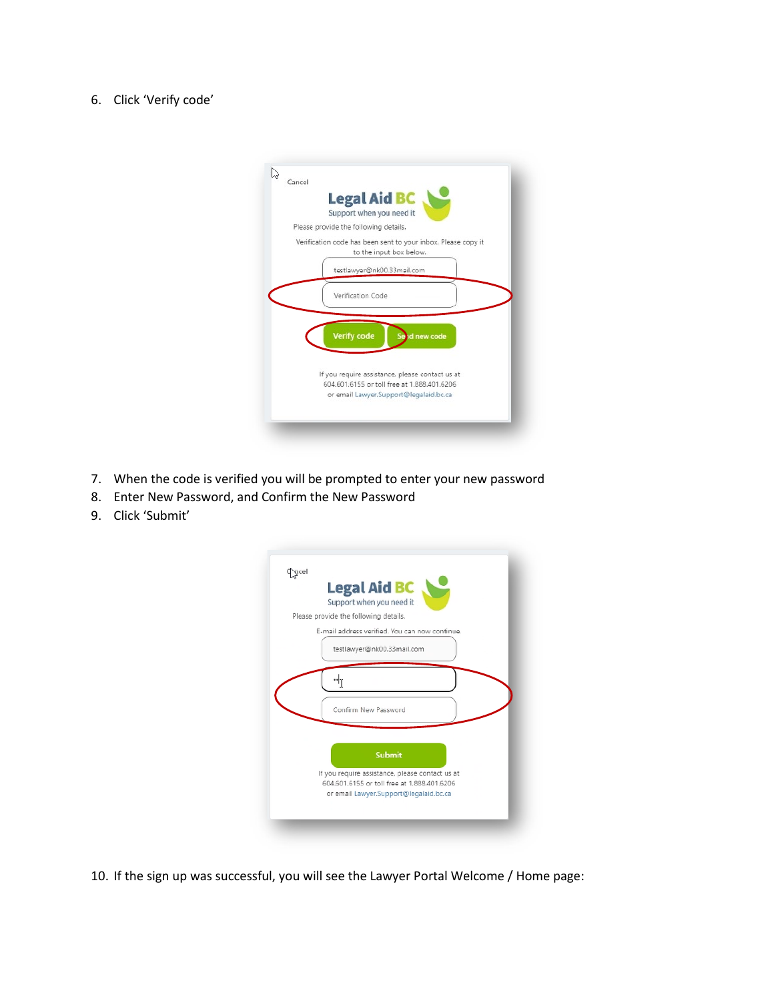## 6. Click 'Verify code'

| <b>Legal Aid BC</b><br>Support when you need it                                                                                          |
|------------------------------------------------------------------------------------------------------------------------------------------|
| Please provide the following details.                                                                                                    |
| Verification code has been sent to your inbox. Please copy it<br>to the input box below.                                                 |
| testlawyer@nk00.33mail.com                                                                                                               |
| Verification Code                                                                                                                        |
| <b>Verify code</b><br>id new code                                                                                                        |
| If you require assistance, please contact us at<br>604,601,6155 or toll free at 1,888,401,6206<br>or email Lawyer.Support@legalaid.bc.ca |

- 7. When the code is verified you will be prompted to enter your new password
- 8. Enter New Password, and Confirm the New Password
- 9. Click 'Submit'



10. If the sign up was successful, you will see the Lawyer Portal Welcome / Home page: